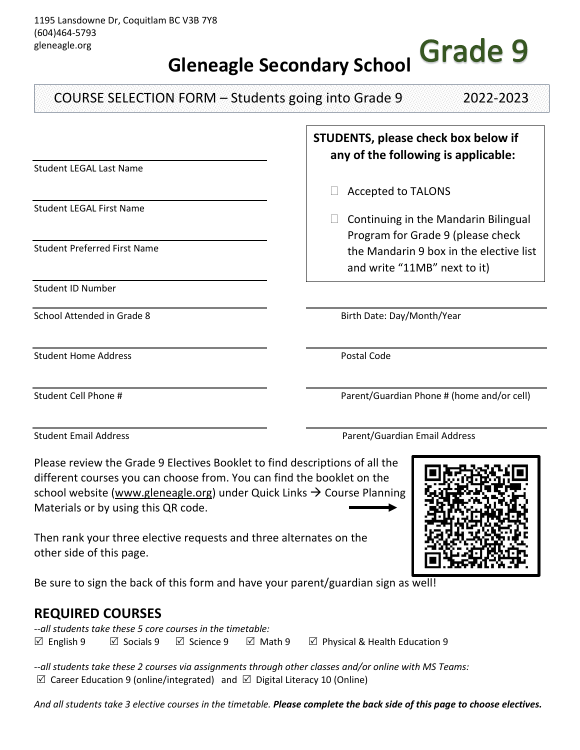## **Grade 9 Gleneagle Secondary School**

Student LEGAL Last Name Student LEGAL First Name Student Preferred First Name Student ID Number School Attended in Grade 8 and School Attended in Grade 8 and School Attended in Grade 8 and School Birth Date: Day/Month/Year Student Home Address **Postal Code Postal Code** Student Cell Phone # **Parent/Guardian Phone # (home and/or cell)** COURSE SELECTION FORM – Students going into Grade 9 2022-2023 **STUDENTS, please check box below if any of the following is applicable:**  $\Box$  Accepted to TALONS  $\Box$  Continuing in the Mandarin Bilingual Program for Grade 9 (please check the Mandarin 9 box in the elective list and write "11MB" next to it)

Please review the Grade 9 Electives Booklet to find descriptions of all the different courses you can choose from. You can find the booklet on the school website [\(www.gleneagle.org\)](http://www.gleneagle.org/) under Quick Links  $\rightarrow$  Course Planning Materials or by using this QR code.

Then rank your three elective requests and three alternates on the other side of this page.

Be sure to sign the back of this form and have your parent/guardian sign as well!

## **REQUIRED COURSES**

*--all students take these 5 core courses in the timetable:* English 9 Socials 9 Science 9 Math 9 Physical & Health Education 9

*--all students take these 2 courses via assignments through other classes and/or online with MS Teams:*   $\boxtimes$  Career Education 9 (online/integrated) and  $\boxtimes$  Digital Literacy 10 (Online)

*And all students take 3 elective courses in the timetable. Please complete the back side of this page to choose electives.*



Student Email Address Parent/Guardian Email Address